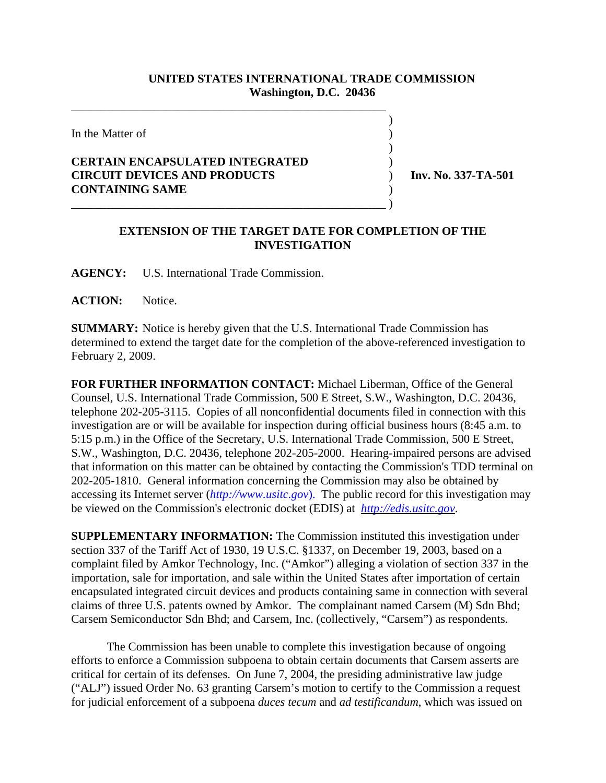## **UNITED STATES INTERNATIONAL TRADE COMMISSION Washington, D.C. 20436**

 $\overline{\phantom{a}}$ 

 $\overline{\phantom{a}}$ 

In the Matter of  $\blacksquare$ 

## **CERTAIN ENCAPSULATED INTEGRATED** ) **CIRCUIT DEVICES AND PRODUCTS** ) **Inv. No. 337-TA-501 CONTAINING SAME** )

\_\_\_\_\_\_\_\_\_\_\_\_\_\_\_\_\_\_\_\_\_\_\_\_\_\_\_\_\_\_\_\_\_\_\_\_\_\_\_\_\_\_\_\_\_\_\_\_\_\_\_\_\_

\_\_\_\_\_\_\_\_\_\_\_\_\_\_\_\_\_\_\_\_\_\_\_\_\_\_\_\_\_\_\_\_\_\_\_\_\_\_\_\_\_\_\_\_\_\_\_\_\_\_\_\_\_ )

## **EXTENSION OF THE TARGET DATE FOR COMPLETION OF THE INVESTIGATION**

**AGENCY:** U.S. International Trade Commission.

**ACTION:** Notice.

**SUMMARY:** Notice is hereby given that the U.S. International Trade Commission has determined to extend the target date for the completion of the above-referenced investigation to February 2, 2009.

**FOR FURTHER INFORMATION CONTACT:** Michael Liberman, Office of the General Counsel, U.S. International Trade Commission, 500 E Street, S.W., Washington, D.C. 20436, telephone 202-205-3115. Copies of all nonconfidential documents filed in connection with this investigation are or will be available for inspection during official business hours (8:45 a.m. to 5:15 p.m.) in the Office of the Secretary, U.S. International Trade Commission, 500 E Street, S.W., Washington, D.C. 20436, telephone 202-205-2000. Hearing-impaired persons are advised that information on this matter can be obtained by contacting the Commission's TDD terminal on 202-205-1810. General information concerning the Commission may also be obtained by accessing its Internet server (*http://www.usitc.gov*). The public record for this investigation may be viewed on the Commission's electronic docket (EDIS) at *http://edis.usitc.gov*.

**SUPPLEMENTARY INFORMATION:** The Commission instituted this investigation under section 337 of the Tariff Act of 1930, 19 U.S.C. §1337, on December 19, 2003, based on a complaint filed by Amkor Technology, Inc. ("Amkor") alleging a violation of section 337 in the importation, sale for importation, and sale within the United States after importation of certain encapsulated integrated circuit devices and products containing same in connection with several claims of three U.S. patents owned by Amkor. The complainant named Carsem (M) Sdn Bhd; Carsem Semiconductor Sdn Bhd; and Carsem, Inc. (collectively, "Carsem") as respondents.

The Commission has been unable to complete this investigation because of ongoing efforts to enforce a Commission subpoena to obtain certain documents that Carsem asserts are critical for certain of its defenses. On June 7, 2004, the presiding administrative law judge ("ALJ") issued Order No. 63 granting Carsem's motion to certify to the Commission a request for judicial enforcement of a subpoena *duces tecum* and *ad testificandum*, which was issued on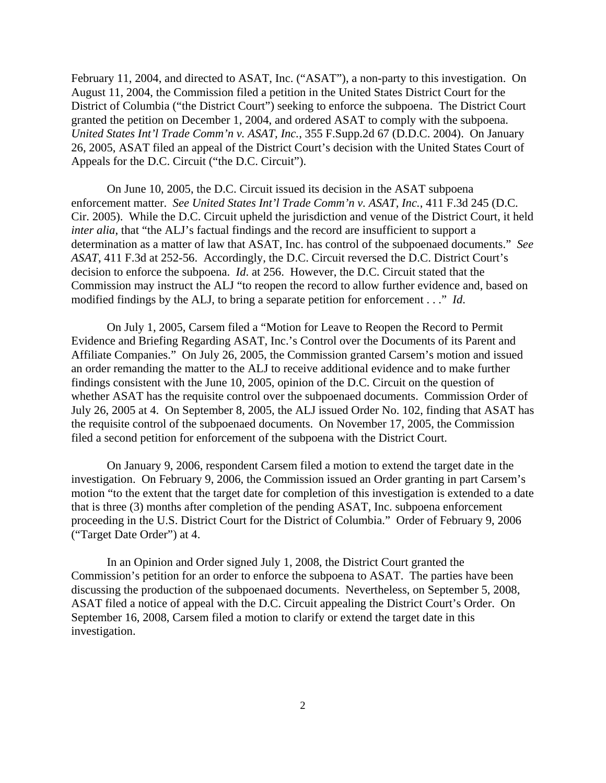February 11, 2004, and directed to ASAT, Inc. ("ASAT"), a non-party to this investigation. On August 11, 2004, the Commission filed a petition in the United States District Court for the District of Columbia ("the District Court") seeking to enforce the subpoena. The District Court granted the petition on December 1, 2004, and ordered ASAT to comply with the subpoena. *United States Int'l Trade Comm'n v. ASAT, Inc.*, 355 F.Supp.2d 67 (D.D.C. 2004). On January 26, 2005, ASAT filed an appeal of the District Court's decision with the United States Court of Appeals for the D.C. Circuit ("the D.C. Circuit").

On June 10, 2005, the D.C. Circuit issued its decision in the ASAT subpoena enforcement matter. *See United States Int'l Trade Comm'n v. ASAT, Inc.*, 411 F.3d 245 (D.C. Cir. 2005). While the D.C. Circuit upheld the jurisdiction and venue of the District Court, it held *inter alia*, that "the ALJ's factual findings and the record are insufficient to support a determination as a matter of law that ASAT, Inc. has control of the subpoenaed documents." *See ASAT*, 411 F.3d at 252-56. Accordingly, the D.C. Circuit reversed the D.C. District Court's decision to enforce the subpoena. *Id*. at 256. However, the D.C. Circuit stated that the Commission may instruct the ALJ "to reopen the record to allow further evidence and, based on modified findings by the ALJ, to bring a separate petition for enforcement . . ." *Id*.

On July 1, 2005, Carsem filed a "Motion for Leave to Reopen the Record to Permit Evidence and Briefing Regarding ASAT, Inc.'s Control over the Documents of its Parent and Affiliate Companies." On July 26, 2005, the Commission granted Carsem's motion and issued an order remanding the matter to the ALJ to receive additional evidence and to make further findings consistent with the June 10, 2005, opinion of the D.C. Circuit on the question of whether ASAT has the requisite control over the subpoenaed documents. Commission Order of July 26, 2005 at 4. On September 8, 2005, the ALJ issued Order No. 102, finding that ASAT has the requisite control of the subpoenaed documents. On November 17, 2005, the Commission filed a second petition for enforcement of the subpoena with the District Court.

On January 9, 2006, respondent Carsem filed a motion to extend the target date in the investigation. On February 9, 2006, the Commission issued an Order granting in part Carsem's motion "to the extent that the target date for completion of this investigation is extended to a date that is three (3) months after completion of the pending ASAT, Inc. subpoena enforcement proceeding in the U.S. District Court for the District of Columbia." Order of February 9, 2006 ("Target Date Order") at 4.

In an Opinion and Order signed July 1, 2008, the District Court granted the Commission's petition for an order to enforce the subpoena to ASAT. The parties have been discussing the production of the subpoenaed documents. Nevertheless, on September 5, 2008, ASAT filed a notice of appeal with the D.C. Circuit appealing the District Court's Order. On September 16, 2008, Carsem filed a motion to clarify or extend the target date in this investigation.